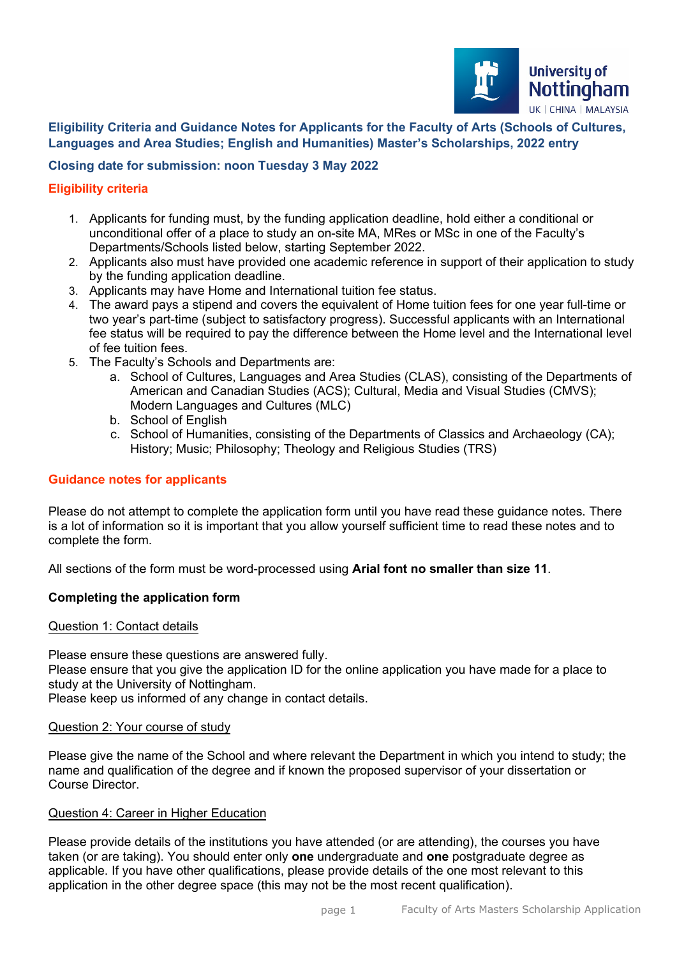

## **Eligibility Criteria and Guidance Notes for Applicants for the Faculty of Arts (Schools of Cultures, Languages and Area Studies; English and Humanities) Master's Scholarships, 2022 entry**

# **Closing date for submission: noon Tuesday 3 May 2022**

## **Eligibility criteria**

- 1. Applicants for funding must, by the funding application deadline, hold either a conditional or unconditional offer of a place to study an on-site MA, MRes or MSc in one of the Faculty's Departments/Schools listed below, starting September 2022.
- 2. Applicants also must have provided one academic reference in support of their application to study by the funding application deadline.
- 3. Applicants may have Home and International tuition fee status.
- 4. The award pays a stipend and covers the equivalent of Home tuition fees for one year full-time or two year's part-time (subject to satisfactory progress). Successful applicants with an International fee status will be required to pay the difference between the Home level and the International level of fee tuition fees.
- 5. The Faculty's Schools and Departments are:
	- a. School of Cultures, Languages and Area Studies (CLAS), consisting of the Departments of American and Canadian Studies (ACS); Cultural, Media and Visual Studies (CMVS); Modern Languages and Cultures (MLC)
	- b. School of English
	- c. School of Humanities, consisting of the Departments of Classics and Archaeology (CA); History; Music; Philosophy; Theology and Religious Studies (TRS)

### **Guidance notes for applicants**

 complete the form. Please do not attempt to complete the application form until you have read these guidance notes. There is a lot of information so it is important that you allow yourself sufficient time to read these notes and to

All sections of the form must be word-processed using **Arial font no smaller than size 11**.

## **Completing the application form**

#### Question 1: Contact details

Please ensure these questions are answered fully. Please ensure that you give the application ID for the online application you have made for a place to study at the University of Nottingham.

Please keep us informed of any change in contact details.

## Question 2: Your course of study

Please give the name of the School and where relevant the Department in which you intend to study; the name and qualification of the degree and if known the proposed supervisor of your dissertation or Course Director.

#### Question 4: Career in Higher Education

 applicable. If you have other qualifications, please provide details of the one most relevant to this application in the other degree space (this may not be the most recent qualification). Please provide details of the institutions you have attended (or are attending), the courses you have taken (or are taking). You should enter only **one** undergraduate and **one** postgraduate degree as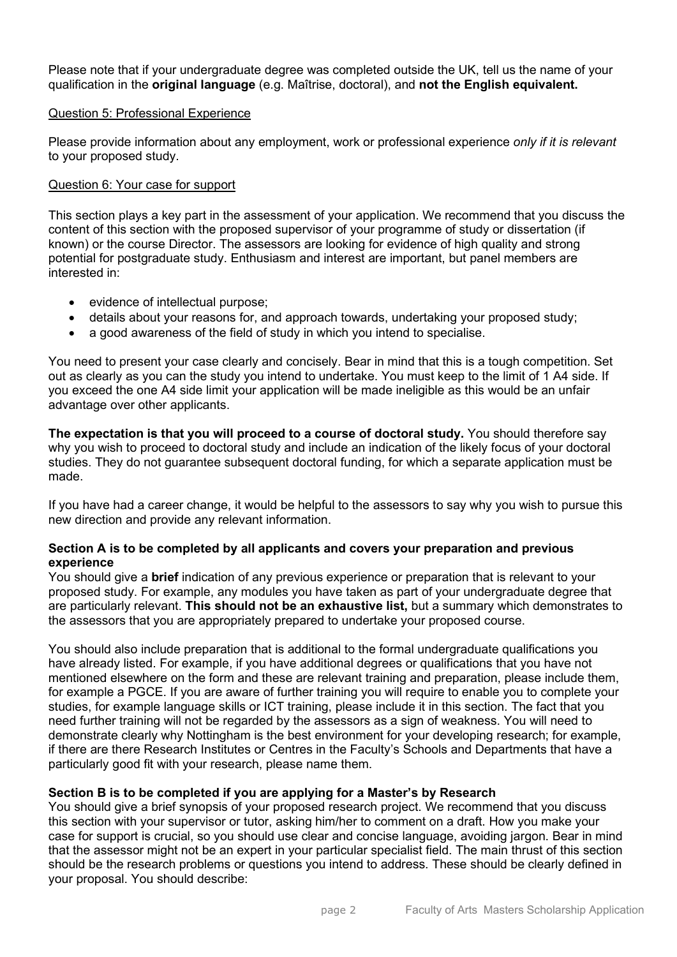Please note that if your undergraduate degree was completed outside the UK, tell us the name of your qualification in the **original language** (e.g. Maîtrise, doctoral), and **not the English equivalent.** 

### Question 5: Professional Experience

 Please provide information about any employment, work or professional experience *only if it is relevant*  to your proposed study.

### Question 6: Your case for support

 content of this section with the proposed supervisor of your programme of study or dissertation (if This section plays a key part in the assessment of your application. We recommend that you discuss the known) or the course Director. The assessors are looking for evidence of high quality and strong potential for postgraduate study. Enthusiasm and interest are important, but panel members are interested in:

- evidence of intellectual purpose;
- details about your reasons for, and approach towards, undertaking your proposed study;
- a good awareness of the field of study in which you intend to specialise.

 out as clearly as you can the study you intend to undertake. You must keep to the limit of 1 A4 side. If You need to present your case clearly and concisely. Bear in mind that this is a tough competition. Set you exceed the one A4 side limit your application will be made ineligible as this would be an unfair advantage over other applicants.

**The expectation is that you will proceed to a course of doctoral study.** You should therefore say why you wish to proceed to doctoral study and include an indication of the likely focus of your doctoral studies. They do not guarantee subsequent doctoral funding, for which a separate application must be made.

If you have had a career change, it would be helpful to the assessors to say why you wish to pursue this new direction and provide any relevant information.

## **Section A is to be completed by all applicants and covers your preparation and previous experience**

You should give a **brief** indication of any previous experience or preparation that is relevant to your proposed study. For example, any modules you have taken as part of your undergraduate degree that are particularly relevant. **This should not be an exhaustive list,** but a summary which demonstrates to the assessors that you are appropriately prepared to undertake your proposed course.

 particularly good fit with your research, please name them. You should also include preparation that is additional to the formal undergraduate qualifications you have already listed. For example, if you have additional degrees or qualifications that you have not mentioned elsewhere on the form and these are relevant training and preparation, please include them, for example a PGCE. If you are aware of further training you will require to enable you to complete your studies, for example language skills or ICT training, please include it in this section. The fact that you need further training will not be regarded by the assessors as a sign of weakness. You will need to demonstrate clearly why Nottingham is the best environment for your developing research; for example, if there are there Research Institutes or Centres in the Faculty's Schools and Departments that have a

## **Section B is to be completed if you are applying for a Master's by Research**

 this section with your supervisor or tutor, asking him/her to comment on a draft. How you make your that the assessor might not be an expert in your particular specialist field. The main thrust of this section You should give a brief synopsis of your proposed research project. We recommend that you discuss case for support is crucial, so you should use clear and concise language, avoiding jargon. Bear in mind should be the research problems or questions you intend to address. These should be clearly defined in your proposal. You should describe: